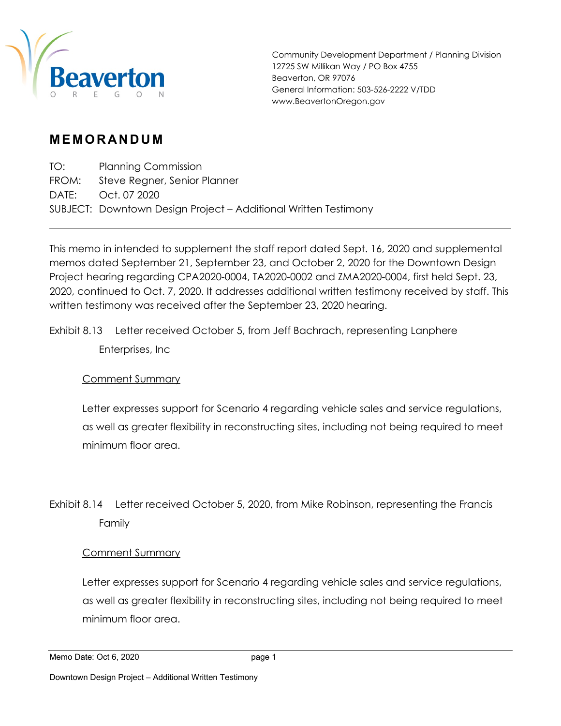

Community Development Department / Planning Division 12725 SW Millikan Way / PO Box 4755 Beaverton, OR 97076 General Information: 503-526-2222 V/TDD www.BeavertonOregon.gov

# **MEMORANDUM**

TO: Planning Commission FROM: Steve Regner, Senior Planner DATE: Oct. 07 2020 SUBJECT: Downtown Design Project – Additional Written Testimony

This memo in intended to supplement the staff report dated Sept. 16, 2020 and supplemental memos dated September 21, September 23, and October 2, 2020 for the Downtown Design Project hearing regarding CPA2020-0004, TA2020-0002 and ZMA2020-0004, first held Sept. 23, 2020, continued to Oct. 7, 2020. It addresses additional written testimony received by staff. This written testimony was received after the September 23, 2020 hearing.

Exhibit 8.13 Letter received October 5, from Jeff Bachrach, representing Lanphere Enterprises, Inc

## Comment Summary

Letter expresses support for Scenario 4 regarding vehicle sales and service regulations, as well as greater flexibility in reconstructing sites, including not being required to meet minimum floor area.

Exhibit 8.14 Letter received October 5, 2020, from Mike Robinson, representing the Francis Family

## Comment Summary

Letter expresses support for Scenario 4 regarding vehicle sales and service regulations, as well as greater flexibility in reconstructing sites, including not being required to meet minimum floor area.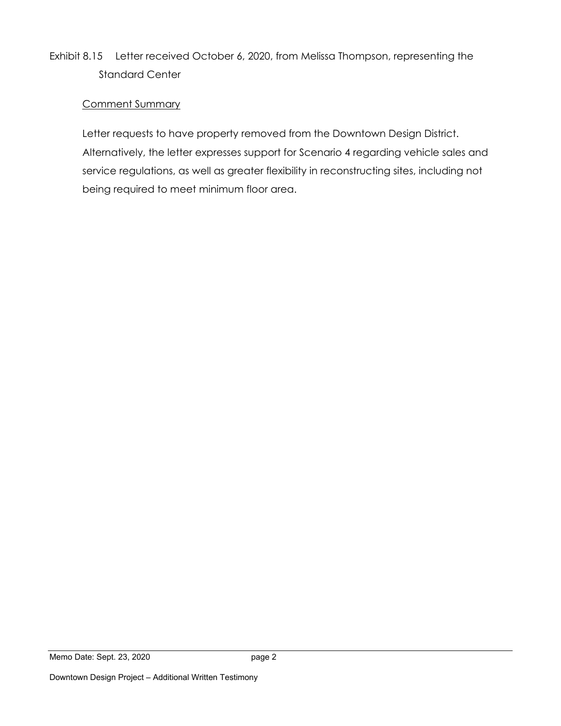# Exhibit 8.15 Letter received October 6, 2020, from Melissa Thompson, representing the Standard Center

# Comment Summary

Letter requests to have property removed from the Downtown Design District. Alternatively, the letter expresses support for Scenario 4 regarding vehicle sales and service regulations, as well as greater flexibility in reconstructing sites, including not being required to meet minimum floor area.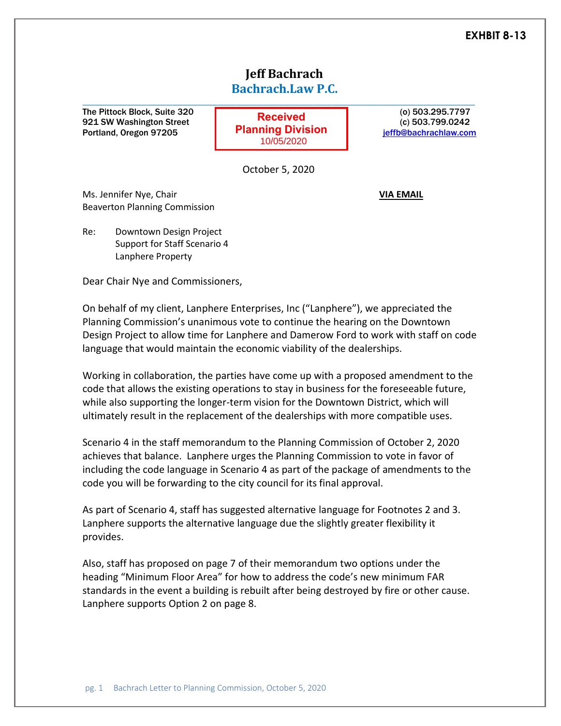# **Jeff Bachrach Bachrach.Law P.C.**

The Pittock Block, Suite 320 (b) 503.295.7797 921 SW Washington Street (c) 503.799.0242 Portland, Oregon 97205 **july Pranning Division** in the effb@bachrachlaw.com

**Received Planning Division** 10/05/2020

**\_\_\_\_\_\_\_\_\_\_\_\_\_\_\_\_\_\_\_\_\_\_\_\_\_\_\_\_\_\_\_\_\_\_\_\_\_\_\_\_\_\_\_\_\_\_\_\_\_\_\_\_\_\_\_\_\_\_\_\_\_**

October 5, 2020

Ms. Jennifer Nye, Chair **VIA EMAIL** Beaverton Planning Commission

Re: Downtown Design Project Support for Staff Scenario 4 Lanphere Property

Dear Chair Nye and Commissioners,

On behalf of my client, Lanphere Enterprises, Inc ("Lanphere"), we appreciated the Planning Commission's unanimous vote to continue the hearing on the Downtown Design Project to allow time for Lanphere and Damerow Ford to work with staff on code language that would maintain the economic viability of the dealerships.

Working in collaboration, the parties have come up with a proposed amendment to the code that allows the existing operations to stay in business for the foreseeable future, while also supporting the longer-term vision for the Downtown District, which will ultimately result in the replacement of the dealerships with more compatible uses.

Scenario 4 in the staff memorandum to the Planning Commission of October 2, 2020 achieves that balance. Lanphere urges the Planning Commission to vote in favor of including the code language in Scenario 4 as part of the package of amendments to the code you will be forwarding to the city council for its final approval.

As part of Scenario 4, staff has suggested alternative language for Footnotes 2 and 3. Lanphere supports the alternative language due the slightly greater flexibility it provides.

Also, staff has proposed on page 7 of their memorandum two options under the heading "Minimum Floor Area" for how to address the code's new minimum FAR standards in the event a building is rebuilt after being destroyed by fire or other cause. Lanphere supports Option 2 on page 8.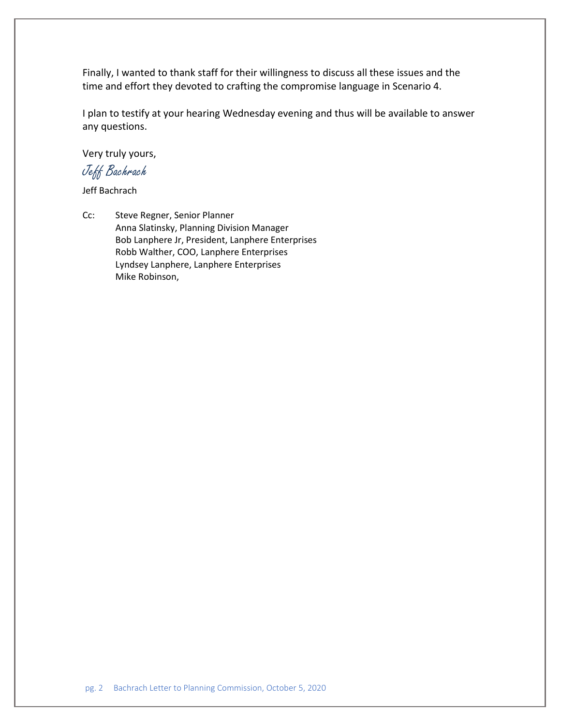Finally, I wanted to thank staff for their willingness to discuss all these issues and the time and effort they devoted to crafting the compromise language in Scenario 4.

I plan to testify at your hearing Wednesday evening and thus will be available to answer any questions.

Very truly yours,

Jeff Bachrach

Jeff Bachrach

Cc: Steve Regner, Senior Planner Anna Slatinsky, Planning Division Manager Bob Lanphere Jr, President, Lanphere Enterprises Robb Walther, COO, Lanphere Enterprises Lyndsey Lanphere, Lanphere Enterprises Mike Robinson,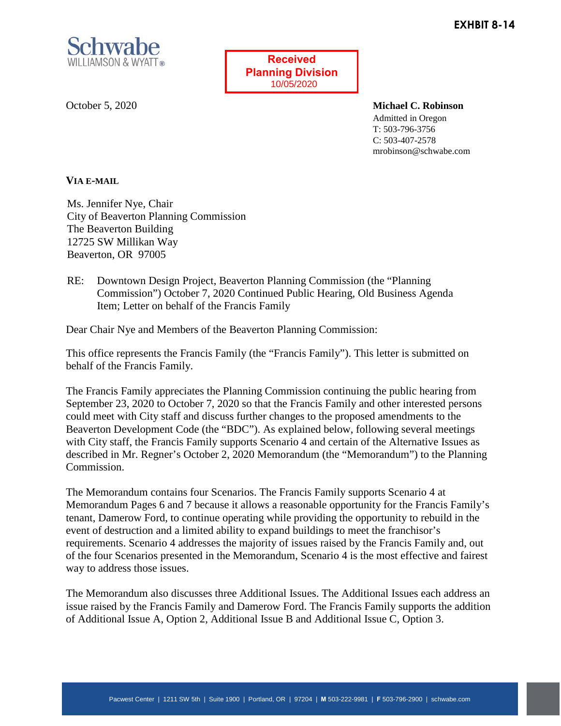

**Received Planning Division** 10/05/2020

October 5, 2020

**Michael C. Robinson** Admitted in Oregon T: 503-796-3756 C: 503-407-2578 mrobinson@schwabe.com

### **VIA E-MAIL**

Ms. Jennifer Nye, Chair City of Beaverton Planning Commission The Beaverton Building 12725 SW Millikan Way Beaverton, OR 97005

RE: Downtown Design Project, Beaverton Planning Commission (the "Planning Commission") October 7, 2020 Continued Public Hearing, Old Business Agenda Item; Letter on behalf of the Francis Family

Dear Chair Nye and Members of the Beaverton Planning Commission:

This office represents the Francis Family (the "Francis Family"). This letter is submitted on behalf of the Francis Family.

The Francis Family appreciates the Planning Commission continuing the public hearing from September 23, 2020 to October 7, 2020 so that the Francis Family and other interested persons could meet with City staff and discuss further changes to the proposed amendments to the Beaverton Development Code (the "BDC"). As explained below, following several meetings with City staff, the Francis Family supports Scenario 4 and certain of the Alternative Issues as described in Mr. Regner's October 2, 2020 Memorandum (the "Memorandum") to the Planning Commission.

The Memorandum contains four Scenarios. The Francis Family supports Scenario 4 at Memorandum Pages 6 and 7 because it allows a reasonable opportunity for the Francis Family's tenant, Damerow Ford, to continue operating while providing the opportunity to rebuild in the event of destruction and a limited ability to expand buildings to meet the franchisor's requirements. Scenario 4 addresses the majority of issues raised by the Francis Family and, out of the four Scenarios presented in the Memorandum, Scenario 4 is the most effective and fairest way to address those issues.

The Memorandum also discusses three Additional Issues. The Additional Issues each address an issue raised by the Francis Family and Damerow Ford. The Francis Family supports the addition of Additional Issue A, Option 2, Additional Issue B and Additional Issue C, Option 3.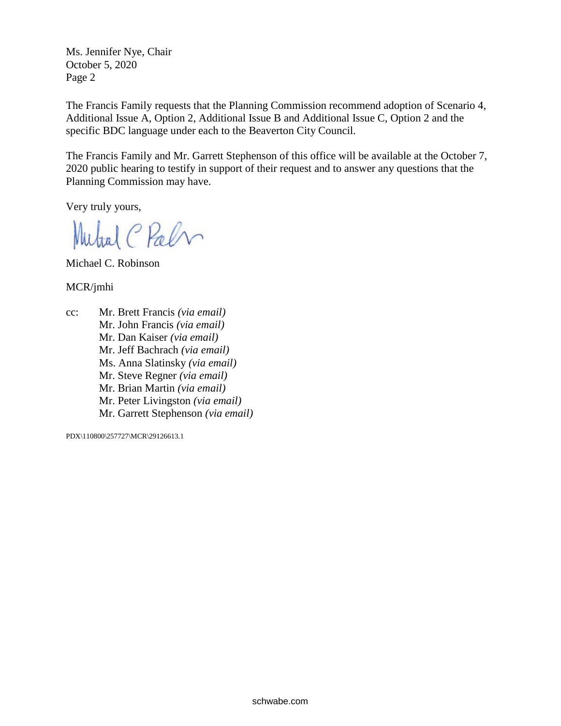Ms. Jennifer Nye, Chair October 5, 2020 Page 2

The Francis Family requests that the Planning Commission recommend adoption of Scenario 4, Additional Issue A, Option 2, Additional Issue B and Additional Issue C, Option 2 and the specific BDC language under each to the Beaverton City Council.

The Francis Family and Mr. Garrett Stephenson of this office will be available at the October 7, 2020 public hearing to testify in support of their request and to answer any questions that the Planning Commission may have.

Very truly yours,

Mutral C Palm

Michael C. Robinson

MCR/jmhi

cc: Mr. Brett Francis *(via email)* Mr. John Francis *(via email)* Mr. Dan Kaiser *(via email)* Mr. Jeff Bachrach *(via email)* Ms. Anna Slatinsky *(via email)* Mr. Steve Regner *(via email)* Mr. Brian Martin *(via email)* Mr. Peter Livingston *(via email)* Mr. Garrett Stephenson *(via email)*

PDX\110800\257727\MCR\29126613.1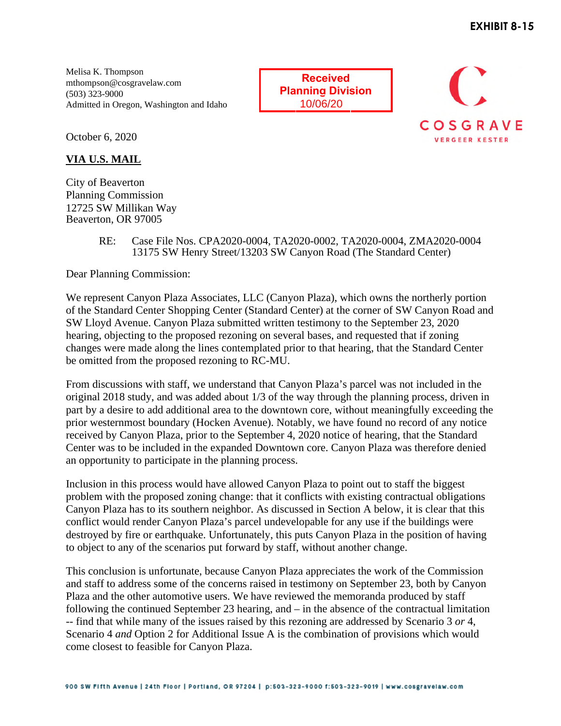Melisa K. Thompson mthompson@cosgravelaw.com (503) 323-9000 Admitted in Oregon, Washington and Idaho

**Received Planning Division**



October 6, 2020

**VIA U.S. MAIL** 

City of Beaverton Planning Commission 12725 SW Millikan Way Beaverton, OR 97005

#### RE: Case File Nos. CPA2020-0004, TA2020-0002, TA2020-0004, ZMA2020-0004 13175 SW Henry Street/13203 SW Canyon Road (The Standard Center)

Dear Planning Commission:

We represent Canyon Plaza Associates, LLC (Canyon Plaza), which owns the northerly portion of the Standard Center Shopping Center (Standard Center) at the corner of SW Canyon Road and SW Lloyd Avenue. Canyon Plaza submitted written testimony to the September 23, 2020 hearing, objecting to the proposed rezoning on several bases, and requested that if zoning changes were made along the lines contemplated prior to that hearing, that the Standard Center be omitted from the proposed rezoning to RC-MU.

From discussions with staff, we understand that Canyon Plaza's parcel was not included in the original 2018 study, and was added about 1/3 of the way through the planning process, driven in part by a desire to add additional area to the downtown core, without meaningfully exceeding the prior westernmost boundary (Hocken Avenue). Notably, we have found no record of any notice received by Canyon Plaza, prior to the September 4, 2020 notice of hearing, that the Standard Center was to be included in the expanded Downtown core. Canyon Plaza was therefore denied an opportunity to participate in the planning process.

Inclusion in this process would have allowed Canyon Plaza to point out to staff the biggest problem with the proposed zoning change: that it conflicts with existing contractual obligations Canyon Plaza has to its southern neighbor. As discussed in Section A below, it is clear that this conflict would render Canyon Plaza's parcel undevelopable for any use if the buildings were destroyed by fire or earthquake. Unfortunately, this puts Canyon Plaza in the position of having to object to any of the scenarios put forward by staff, without another change.

This conclusion is unfortunate, because Canyon Plaza appreciates the work of the Commission and staff to address some of the concerns raised in testimony on September 23, both by Canyon Plaza and the other automotive users. We have reviewed the memoranda produced by staff following the continued September 23 hearing, and – in the absence of the contractual limitation -- find that while many of the issues raised by this rezoning are addressed by Scenario 3 *or* 4, Scenario 4 *and* Option 2 for Additional Issue A is the combination of provisions which would come closest to feasible for Canyon Plaza.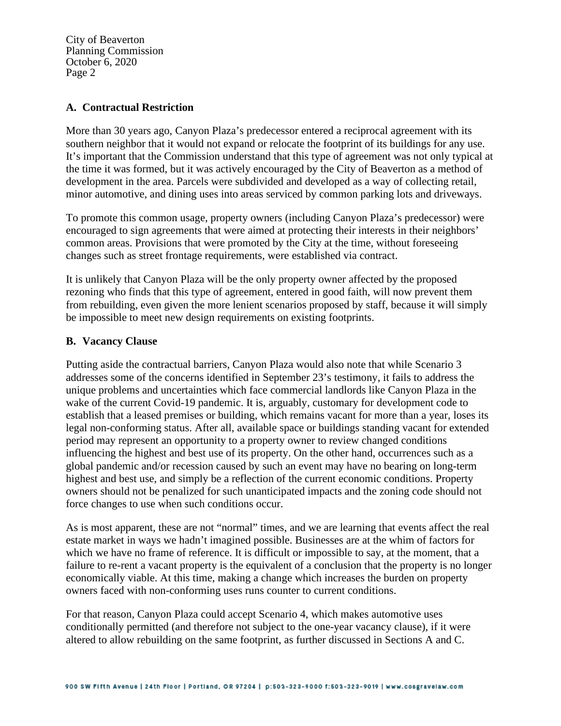City of Beaverton Planning Commission October 6, 2020 Page 2

#### **A. Contractual Restriction**

More than 30 years ago, Canyon Plaza's predecessor entered a reciprocal agreement with its southern neighbor that it would not expand or relocate the footprint of its buildings for any use. It's important that the Commission understand that this type of agreement was not only typical at the time it was formed, but it was actively encouraged by the City of Beaverton as a method of development in the area. Parcels were subdivided and developed as a way of collecting retail, minor automotive, and dining uses into areas serviced by common parking lots and driveways.

To promote this common usage, property owners (including Canyon Plaza's predecessor) were encouraged to sign agreements that were aimed at protecting their interests in their neighbors' common areas. Provisions that were promoted by the City at the time, without foreseeing changes such as street frontage requirements, were established via contract.

It is unlikely that Canyon Plaza will be the only property owner affected by the proposed rezoning who finds that this type of agreement, entered in good faith, will now prevent them from rebuilding, even given the more lenient scenarios proposed by staff, because it will simply be impossible to meet new design requirements on existing footprints.

### **B. Vacancy Clause**

Putting aside the contractual barriers, Canyon Plaza would also note that while Scenario 3 addresses some of the concerns identified in September 23's testimony, it fails to address the unique problems and uncertainties which face commercial landlords like Canyon Plaza in the wake of the current Covid-19 pandemic. It is, arguably, customary for development code to establish that a leased premises or building, which remains vacant for more than a year, loses its legal non-conforming status. After all, available space or buildings standing vacant for extended period may represent an opportunity to a property owner to review changed conditions influencing the highest and best use of its property. On the other hand, occurrences such as a global pandemic and/or recession caused by such an event may have no bearing on long-term highest and best use, and simply be a reflection of the current economic conditions. Property owners should not be penalized for such unanticipated impacts and the zoning code should not force changes to use when such conditions occur.

As is most apparent, these are not "normal" times, and we are learning that events affect the real estate market in ways we hadn't imagined possible. Businesses are at the whim of factors for which we have no frame of reference. It is difficult or impossible to say, at the moment, that a failure to re-rent a vacant property is the equivalent of a conclusion that the property is no longer economically viable. At this time, making a change which increases the burden on property owners faced with non-conforming uses runs counter to current conditions.

For that reason, Canyon Plaza could accept Scenario 4, which makes automotive uses conditionally permitted (and therefore not subject to the one-year vacancy clause), if it were altered to allow rebuilding on the same footprint, as further discussed in Sections A and C.